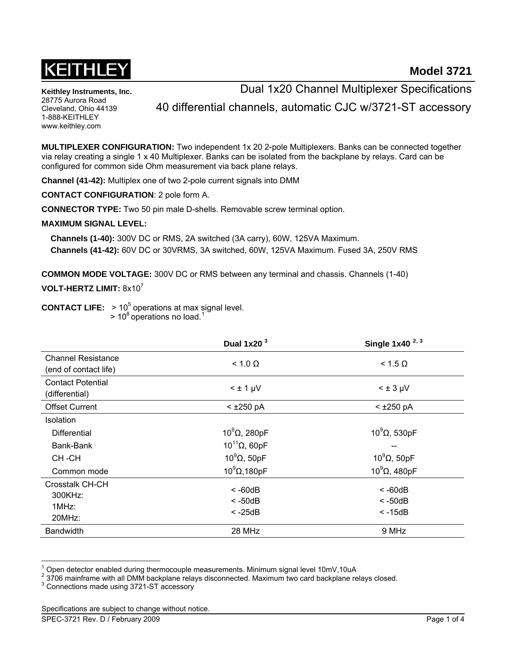

**Keithley Instruments, Inc.**  28775 Aurora Road Cleveland, Ohio 44139 1-888-KEITHLEY www.keithley.com

Dual 1x20 Channel Multiplexer Specifications

40 differential channels, automatic CJC w/3721-ST accessory

**MULTIPLEXER CONFIGURATION:** Two independent 1x 20 2-pole Multiplexers. Banks can be connected together via relay creating a single 1 x 40 Multiplexer. Banks can be isolated from the backplane by relays. Card can be configured for common side Ohm measurement via back plane relays.

**Channel (41-42):** Multiplex one of two 2-pole current signals into DMM

**CONTACT CONFIGURATION**: 2 pole form A.

**CONNECTOR TYPE:** Two 50 pin male D-shells. Removable screw terminal option.

## **MAXIMUM SIGNAL LEVEL:**

 **Channels (1-40):** 300V DC or RMS, 2A switched (3A carry), 60W, 125VA Maximum.  **Channels (41-42):** 60V DC or 30VRMS, 3A switched, 60W, 125VA Maximum. Fused 3A, 250V RMS

**COMMON MODE VOLTAGE:** 300V DC or RMS between any terminal and chassis. Channels (1-40)

# **VOLT-HERTZ LIMIT:** 8x107

**CONTACT LIFE:**  $> 10<sup>5</sup>$  operations at max signal level.

 $> 10^8$  $> 10^8$  $> 10^8$  operations no load.<sup>1</sup>

<span id="page-0-1"></span>

|                                                    | Dual $1x203$                        | Single $1x40^{2,3}$                    |
|----------------------------------------------------|-------------------------------------|----------------------------------------|
| <b>Channel Resistance</b><br>(end of contact life) | $< 1.0 \Omega$                      | $< 1.5 \Omega$                         |
| <b>Contact Potential</b><br>(differential)         | $< \pm 1 \mu V$                     | $< \pm 3$ µV                           |
| <b>Offset Current</b>                              | $<$ ±250 pA                         | $<$ ±250 pA                            |
| <b>Isolation</b>                                   |                                     |                                        |
| <b>Differential</b>                                | $10^9$ $\Omega$ , 280pF             | $10^9$ $\Omega$ , 530pF                |
| Bank-Bank                                          | $10^{11}$ Q, 60pF                   | --                                     |
| CH-CH                                              | $10^9$ $\Omega$ , 50pF              | $10^9$ $\Omega$ , 50pF                 |
| Common mode                                        | $10^9$ $\Omega$ , 180pF             | $10^9$ $\Omega$ , 480pF                |
| Crosstalk CH-CH<br>300KHz:<br>1MHz:<br>20MHz:      | $< -60dB$<br>$< -50dB$<br>$< -25dB$ | $< -60dB$<br>$<$ -50dB<br>$\leq$ -15dB |
| <b>Bandwidth</b>                                   | 28 MHz                              | 9 MHz                                  |

<span id="page-0-0"></span><sup>1</sup>  $\frac{1}{2}$  Open detector enabled during thermocouple measurements. Minimum signal level 10mV,10uA

l

<span id="page-0-2"></span> <sup>3706</sup> mainframe with all DMM backplane relays disconnected. Maximum two card backplane relays closed.

<span id="page-0-3"></span><sup>3</sup> Connections made using 3721-ST accessory

Specifications are subject to change without notice.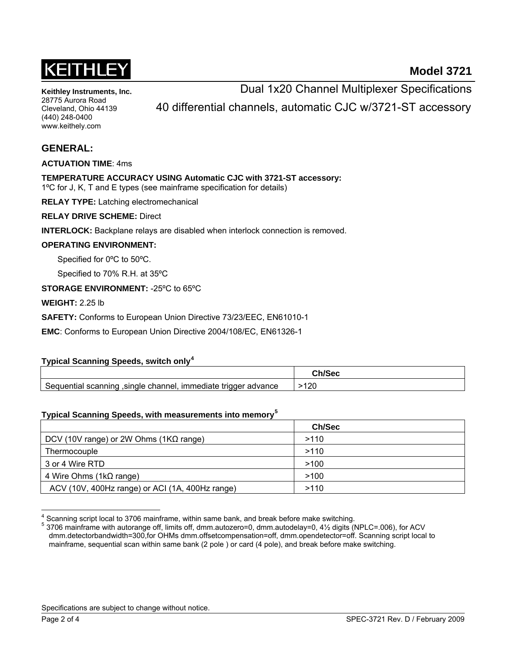

**Model 3721**

**Keithley Instruments, Inc.**  28775 Aurora Road Cleveland, Ohio 44139 (440) 248-0400 www.keithely.com

Dual 1x20 Channel Multiplexer Specifications 40 differential channels, automatic CJC w/3721-ST accessory

# **GENERAL:**

**ACTUATION TIME**: 4ms

**TEMPERATURE ACCURACY USING Automatic CJC with 3721-ST accessory:**  1ºC for J, K, T and E types (see mainframe specification for details)

**RELAY TYPE:** Latching electromechanical

**RELAY DRIVE SCHEME:** Direct

**INTERLOCK:** Backplane relays are disabled when interlock connection is removed.

#### **OPERATING ENVIRONMENT:**

Specified for 0ºC to 50ºC.

Specified to 70% R.H. at 35ºC

**STORAGE ENVIRONMENT:** -25ºC to 65ºC

**WEIGHT:** 2.25 lb

**SAFETY:** Conforms to European Union Directive 73/23/EEC, EN61010-1

**EMC**: Conforms to European Union Directive 2004/108/EC, EN61326-1

## **Typical Scanning Speeds, switch only[4](#page-1-0)**

| , immediate trigger advance<br>Jequential scanning<br>single channel. | .100<br>∠∪ |
|-----------------------------------------------------------------------|------------|

## **Typical Scanning Speeds, with measurements into memory[5](#page-1-1)**

|                                                 | Ch/Sec |  |
|-------------------------------------------------|--------|--|
| DCV (10V range) or 2W Ohms (1 $K\Omega$ range)  | >110   |  |
| Thermocouple                                    | >110   |  |
| 3 or 4 Wire RTD                                 | >100   |  |
| 4 Wire Ohms (1 $k\Omega$ range)                 | >100   |  |
| ACV (10V, 400Hz range) or ACI (1A, 400Hz range) | >110   |  |

<span id="page-1-0"></span><sup>4</sup> Scanning script local to 3706 mainframe, within same bank, and break before make switching.

Specifications are subject to change without notice.

l

<span id="page-1-1"></span><sup>5</sup> 3706 mainframe with autorange off, limits off, dmm.autozero=0, dmm.autodelay=0, 4½ digits (NPLC=.006), for ACV dmm.detectorbandwidth=300,for OHMs dmm.offsetcompensation=off, dmm.opendetector=off. Scanning script local to mainframe, sequential scan within same bank (2 pole ) or card (4 pole), and break before make switching.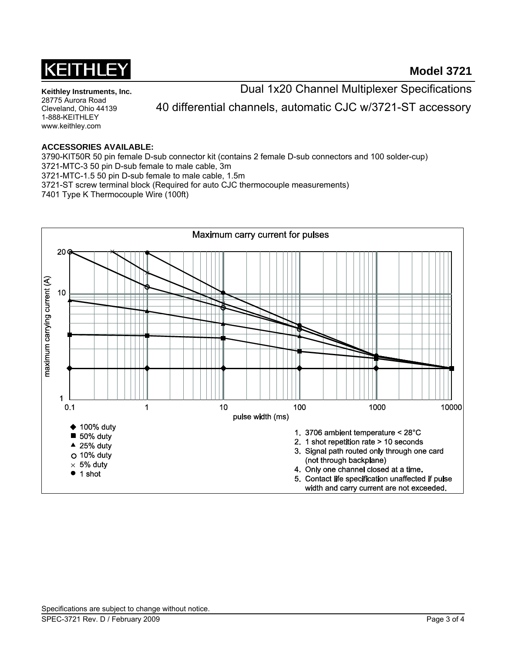

**Keithley Instruments, Inc.**  28775 Aurora Road Cleveland, Ohio 44139 1-888-KEITHLEY www.keithley.com

Dual 1x20 Channel Multiplexer Specifications

40 differential channels, automatic CJC w/3721-ST accessory

# **ACCESSORIES AVAILABLE:**

3790-KIT50R 50 pin female D-sub connector kit (contains 2 female D-sub connectors and 100 solder-cup) 3721-MTC-3 50 pin D-sub female to male cable, 3m 3721-MTC-1.5 50 pin D-sub female to male cable, 1.5m 3721-ST screw terminal block (Required for auto CJC thermocouple measurements) 7401 Type K Thermocouple Wire (100ft)